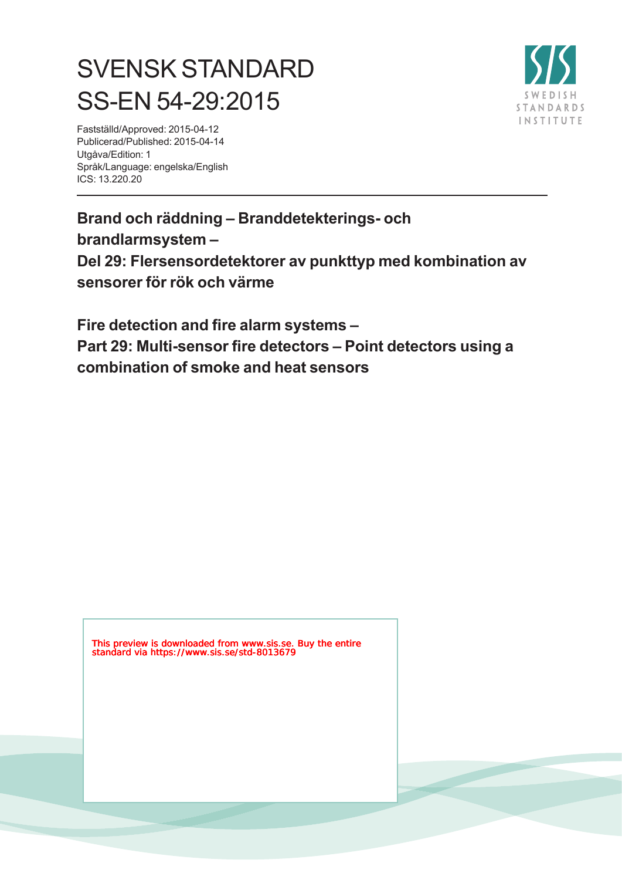# SVENSK STANDARD SS-EN 54-29:2015



Fastställd/Approved: 2015-04-12 Publicerad/Published: 2015-04-14 Utgåva/Edition: 1 Språk/Language: engelska/English ICS: 13.220.20

**Brand och räddning – Branddetekterings- och brandlarmsystem – Del 29: Flersensordetektorer av punkttyp med kombination av sensorer för rök och värme**

**Fire detection and fire alarm systems – Part 29: Multi-sensor fire detectors – Point detectors using a combination of smoke and heat sensors**

This preview is downloaded from www.sis.se. Buy the entire standard via https://www.sis.se/std-8013679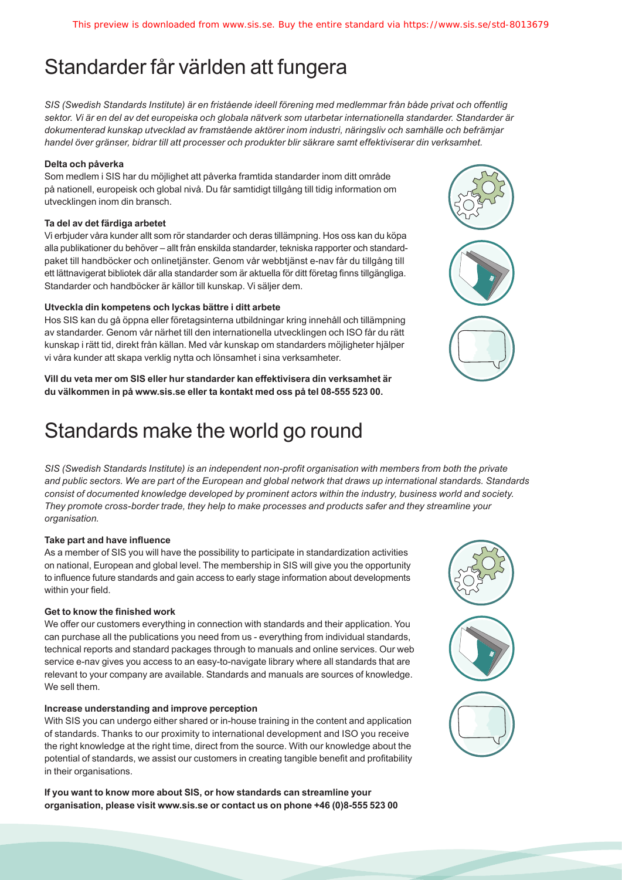## Standarder får världen att fungera

*SIS (Swedish Standards Institute) är en fristående ideell förening med medlemmar från både privat och offentlig sektor. Vi är en del av det europeiska och globala nätverk som utarbetar internationella standarder. Standarder är dokumenterad kunskap utvecklad av framstående aktörer inom industri, näringsliv och samhälle och befrämjar handel över gränser, bidrar till att processer och produkter blir säkrare samt effektiviserar din verksamhet.* 

#### **Delta och påverka**

Som medlem i SIS har du möjlighet att påverka framtida standarder inom ditt område på nationell, europeisk och global nivå. Du får samtidigt tillgång till tidig information om utvecklingen inom din bransch.

#### **Ta del av det färdiga arbetet**

Vi erbjuder våra kunder allt som rör standarder och deras tillämpning. Hos oss kan du köpa alla publikationer du behöver – allt från enskilda standarder, tekniska rapporter och standardpaket till handböcker och onlinetjänster. Genom vår webbtjänst e-nav får du tillgång till ett lättnavigerat bibliotek där alla standarder som är aktuella för ditt företag finns tillgängliga. Standarder och handböcker är källor till kunskap. Vi säljer dem.

#### **Utveckla din kompetens och lyckas bättre i ditt arbete**

Hos SIS kan du gå öppna eller företagsinterna utbildningar kring innehåll och tillämpning av standarder. Genom vår närhet till den internationella utvecklingen och ISO får du rätt kunskap i rätt tid, direkt från källan. Med vår kunskap om standarders möjligheter hjälper vi våra kunder att skapa verklig nytta och lönsamhet i sina verksamheter.

**Vill du veta mer om SIS eller hur standarder kan effektivisera din verksamhet är du välkommen in på www.sis.se eller ta kontakt med oss på tel 08-555 523 00.**

## Standards make the world go round

*SIS (Swedish Standards Institute) is an independent non-profit organisation with members from both the private and public sectors. We are part of the European and global network that draws up international standards. Standards consist of documented knowledge developed by prominent actors within the industry, business world and society. They promote cross-border trade, they help to make processes and products safer and they streamline your organisation.*

#### **Take part and have influence**

As a member of SIS you will have the possibility to participate in standardization activities on national, European and global level. The membership in SIS will give you the opportunity to influence future standards and gain access to early stage information about developments within your field.

#### **Get to know the finished work**

We offer our customers everything in connection with standards and their application. You can purchase all the publications you need from us - everything from individual standards, technical reports and standard packages through to manuals and online services. Our web service e-nav gives you access to an easy-to-navigate library where all standards that are relevant to your company are available. Standards and manuals are sources of knowledge. We sell them.

#### **Increase understanding and improve perception**

With SIS you can undergo either shared or in-house training in the content and application of standards. Thanks to our proximity to international development and ISO you receive the right knowledge at the right time, direct from the source. With our knowledge about the potential of standards, we assist our customers in creating tangible benefit and profitability in their organisations.

**If you want to know more about SIS, or how standards can streamline your organisation, please visit www.sis.se or contact us on phone +46 (0)8-555 523 00**



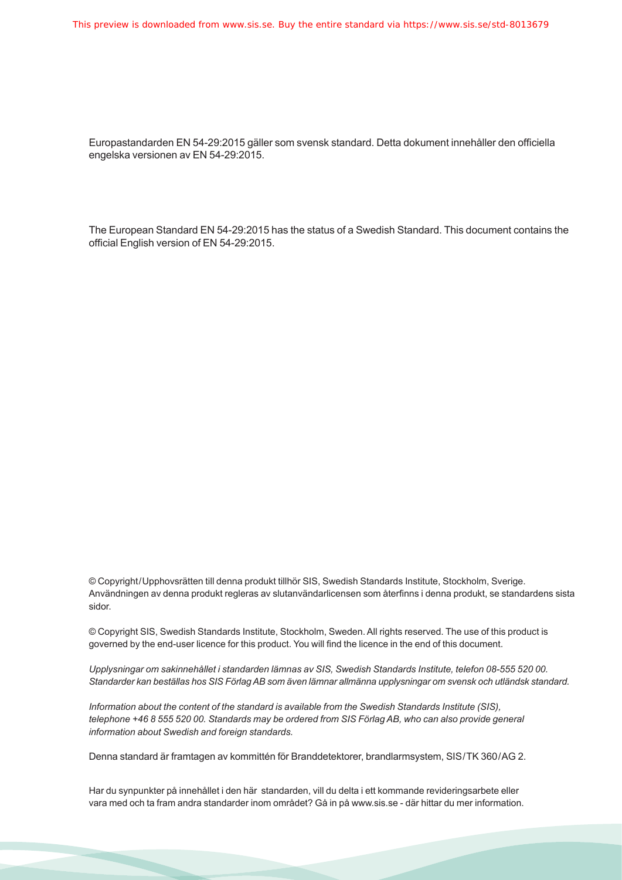Europastandarden EN 54-29:2015 gäller som svensk standard. Detta dokument innehåller den officiella engelska versionen av EN 54-29:2015.

The European Standard EN 54-29:2015 has the status of a Swedish Standard. This document contains the official English version of EN 54-29:2015.

© Copyright / Upphovsrätten till denna produkt tillhör SIS, Swedish Standards Institute, Stockholm, Sverige. Användningen av denna produkt regleras av slutanvändarlicensen som återfinns i denna produkt, se standardens sista sidor.

© Copyright SIS, Swedish Standards Institute, Stockholm, Sweden. All rights reserved. The use of this product is governed by the end-user licence for this product. You will find the licence in the end of this document.

*Upplysningar om sakinnehållet i standarden lämnas av SIS, Swedish Standards Institute, telefon 08-555 520 00. Standarder kan beställas hos SIS Förlag AB som även lämnar allmänna upplysningar om svensk och utländsk standard.*

*Information about the content of the standard is available from the Swedish Standards Institute (SIS), telephone +46 8 555 520 00. Standards may be ordered from SIS Förlag AB, who can also provide general information about Swedish and foreign standards.*

Denna standard är framtagen av kommittén för Branddetektorer, brandlarmsystem, SIS / TK 360 / AG 2.

Har du synpunkter på innehållet i den här standarden, vill du delta i ett kommande revideringsarbete eller vara med och ta fram andra standarder inom området? Gå in på www.sis.se - där hittar du mer information.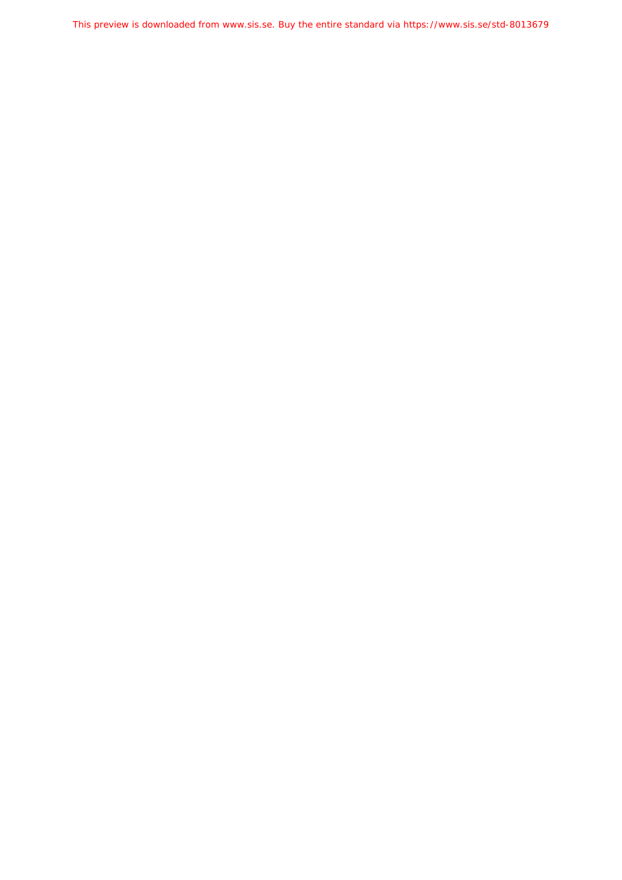This preview is downloaded from www.sis.se. Buy the entire standard via https://www.sis.se/std-8013679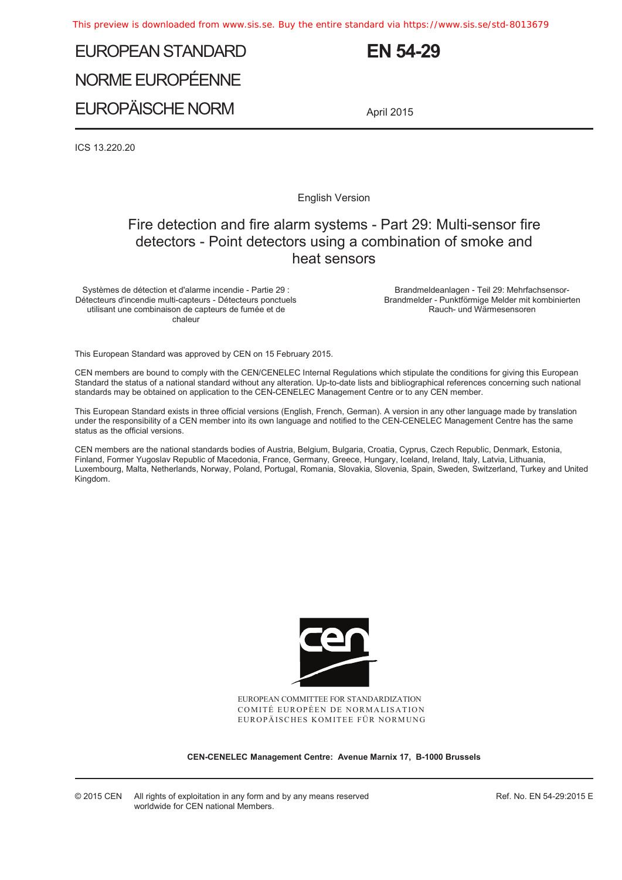This preview is downloaded from www.sis.se. Buy the entire standard via https://www.sis.se/std-8013679

## EUROPEAN STANDARD NORME EUROPÉENNE EUROPÄISCHE NORM

## **EN 54-29**

April 2015

ICS 13.220.20

English Version

## Fire detection and fire alarm systems - Part 29: Multi-sensor fire detectors - Point detectors using a combination of smoke and heat sensors

Systèmes de détection et d'alarme incendie - Partie 29 : Détecteurs d'incendie multi-capteurs - Détecteurs ponctuels utilisant une combinaison de capteurs de fumée et de chaleur

Brandmeldeanlagen - Teil 29: Mehrfachsensor-Brandmelder - Punktförmige Melder mit kombinierten Rauch- und Wärmesensoren

This European Standard was approved by CEN on 15 February 2015.

CEN members are bound to comply with the CEN/CENELEC Internal Regulations which stipulate the conditions for giving this European Standard the status of a national standard without any alteration. Up-to-date lists and bibliographical references concerning such national standards may be obtained on application to the CEN-CENELEC Management Centre or to any CEN member.

This European Standard exists in three official versions (English, French, German). A version in any other language made by translation under the responsibility of a CEN member into its own language and notified to the CEN-CENELEC Management Centre has the same status as the official versions.

CEN members are the national standards bodies of Austria, Belgium, Bulgaria, Croatia, Cyprus, Czech Republic, Denmark, Estonia, Finland, Former Yugoslav Republic of Macedonia, France, Germany, Greece, Hungary, Iceland, Ireland, Italy, Latvia, Lithuania, Luxembourg, Malta, Netherlands, Norway, Poland, Portugal, Romania, Slovakia, Slovenia, Spain, Sweden, Switzerland, Turkey and United Kingdom.



EUROPEAN COMMITTEE FOR STANDARDIZATION COMITÉ EUROPÉEN DE NORMALISATION EUROPÄISCHES KOMITEE FÜR NORMUNG

**CEN-CENELEC Management Centre: Avenue Marnix 17, B-1000 Brussels** 

Ref. No. EN 54-29:2015 E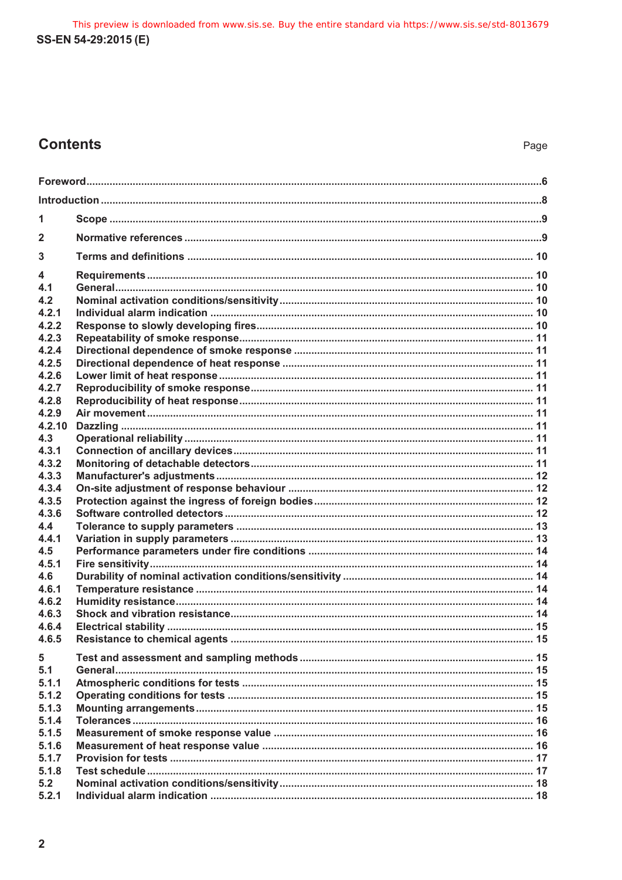This preview is downloaded from www.sis.se. Buy the entire standard via https://www.sis.se/std-8013679 SS-EN 54-29:2015 (E)

## **Contents**

| 1              |  |  |  |
|----------------|--|--|--|
| $\mathbf{2}$   |  |  |  |
| 3              |  |  |  |
| 4              |  |  |  |
| 4.1<br>4.2     |  |  |  |
| 4.2.1          |  |  |  |
| 4.2.2          |  |  |  |
| 4.2.3          |  |  |  |
| 4.2.4          |  |  |  |
| 4.2.5          |  |  |  |
| 4.2.6          |  |  |  |
| 4.2.7          |  |  |  |
| 4.2.8          |  |  |  |
| 4.2.9          |  |  |  |
| 4.2.10         |  |  |  |
| 4.3            |  |  |  |
| 4.3.1          |  |  |  |
| 4.3.2          |  |  |  |
| 4.3.3          |  |  |  |
| 4.3.4<br>4.3.5 |  |  |  |
| 4.3.6          |  |  |  |
| 4.4            |  |  |  |
| 4.4.1          |  |  |  |
| 4.5            |  |  |  |
| 4.5.1          |  |  |  |
| 4.6            |  |  |  |
| 4.6.1          |  |  |  |
| 4.6.2          |  |  |  |
| 4.6.3          |  |  |  |
| 4.6.4          |  |  |  |
| 4.6.5          |  |  |  |
| 5              |  |  |  |
| 5.1            |  |  |  |
| 5.1.1          |  |  |  |
| 5.1.2          |  |  |  |
| 5.1.3          |  |  |  |
| 5.1.4          |  |  |  |
| 5.1.5          |  |  |  |
| 5.1.6          |  |  |  |
| 5.1.7          |  |  |  |
| 5.1.8          |  |  |  |
| 5.2            |  |  |  |
| 5.2.1          |  |  |  |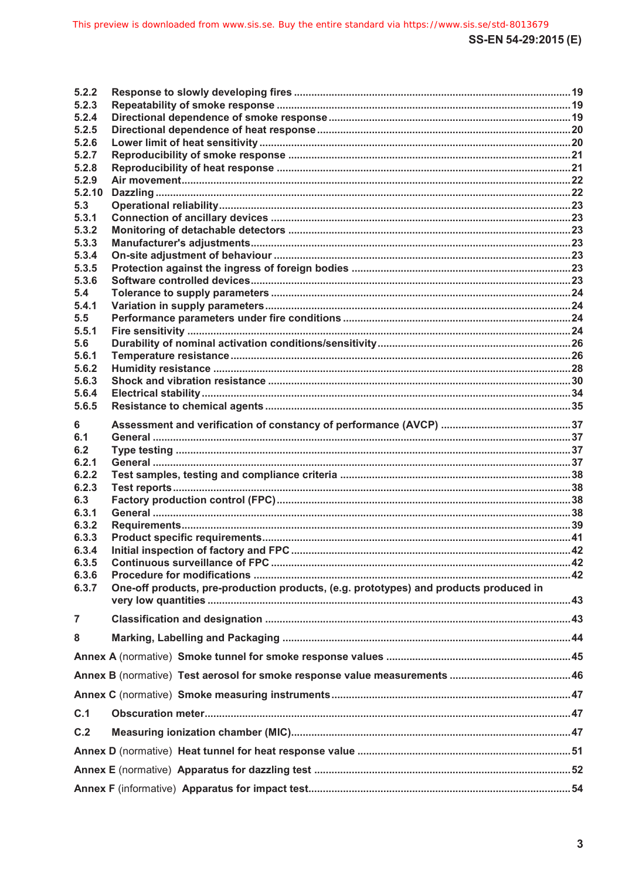| 5.2.2<br>5.2.3<br>5.2.4 |                                                                                       |  |  |
|-------------------------|---------------------------------------------------------------------------------------|--|--|
| 5.2.5                   |                                                                                       |  |  |
| 5.2.6                   |                                                                                       |  |  |
| 5.2.7                   |                                                                                       |  |  |
| 5.2.8                   |                                                                                       |  |  |
| 5.2.9                   |                                                                                       |  |  |
| 5.2.10                  |                                                                                       |  |  |
| 5.3                     |                                                                                       |  |  |
| 5.3.1                   |                                                                                       |  |  |
| 5.3.2                   |                                                                                       |  |  |
| 5.3.3<br>5.3.4          |                                                                                       |  |  |
| 5.3.5                   |                                                                                       |  |  |
| 5.3.6                   |                                                                                       |  |  |
| 5.4                     |                                                                                       |  |  |
| 5.4.1                   |                                                                                       |  |  |
| 5.5                     |                                                                                       |  |  |
| 5.5.1                   |                                                                                       |  |  |
| 5.6                     |                                                                                       |  |  |
| 5.6.1                   |                                                                                       |  |  |
| 5.6.2                   |                                                                                       |  |  |
| 5.6.3                   |                                                                                       |  |  |
| 5.6.4                   |                                                                                       |  |  |
| 5.6.5                   |                                                                                       |  |  |
| 6                       |                                                                                       |  |  |
| 6.1                     |                                                                                       |  |  |
| 6.2                     |                                                                                       |  |  |
| 6.2.1                   |                                                                                       |  |  |
| 6.2.2                   |                                                                                       |  |  |
| 6.2.3                   |                                                                                       |  |  |
| 6.3<br>6.3.1            |                                                                                       |  |  |
| 6.3.2                   |                                                                                       |  |  |
| 6.3.3                   |                                                                                       |  |  |
| 6.3.4                   |                                                                                       |  |  |
| 6.3.5                   |                                                                                       |  |  |
| 6.3.6                   |                                                                                       |  |  |
| 6.3.7                   | One-off products, pre-production products, (e.g. prototypes) and products produced in |  |  |
|                         |                                                                                       |  |  |
| $\overline{7}$          |                                                                                       |  |  |
| 8                       |                                                                                       |  |  |
|                         |                                                                                       |  |  |
|                         |                                                                                       |  |  |
|                         |                                                                                       |  |  |
| C.1                     |                                                                                       |  |  |
| C.2                     |                                                                                       |  |  |
|                         |                                                                                       |  |  |
|                         |                                                                                       |  |  |
|                         |                                                                                       |  |  |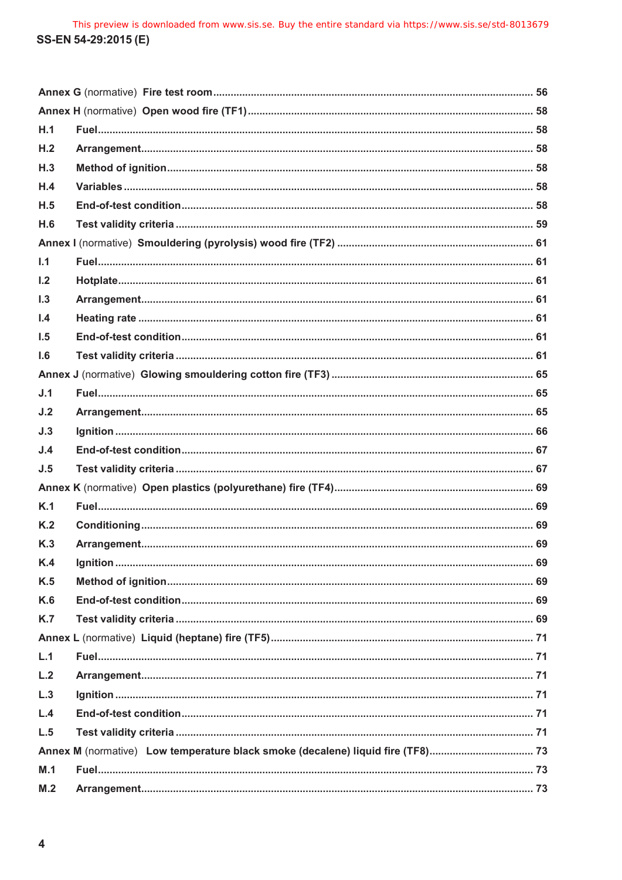| H.1                                                                             |  |  |
|---------------------------------------------------------------------------------|--|--|
| H.2                                                                             |  |  |
| H.3                                                                             |  |  |
| H.4                                                                             |  |  |
| H.5                                                                             |  |  |
| H.6                                                                             |  |  |
|                                                                                 |  |  |
| 1.1                                                                             |  |  |
| 1.2                                                                             |  |  |
| 1.3                                                                             |  |  |
| 1.4                                                                             |  |  |
| 1.5                                                                             |  |  |
| 1.6                                                                             |  |  |
|                                                                                 |  |  |
| J.1                                                                             |  |  |
| J.2                                                                             |  |  |
| J.3                                                                             |  |  |
| J.4                                                                             |  |  |
| J.5                                                                             |  |  |
|                                                                                 |  |  |
| K.1                                                                             |  |  |
| K <sub>2</sub>                                                                  |  |  |
| K.3                                                                             |  |  |
| K.4                                                                             |  |  |
| K.5                                                                             |  |  |
| K.6                                                                             |  |  |
| <b>K.7</b>                                                                      |  |  |
|                                                                                 |  |  |
| L.1                                                                             |  |  |
| L.2                                                                             |  |  |
| L.3                                                                             |  |  |
| L.4                                                                             |  |  |
| L.5                                                                             |  |  |
| Annex M (normative) Low temperature black smoke (decalene) liquid fire (TF8) 73 |  |  |
| M.1                                                                             |  |  |
| M.2                                                                             |  |  |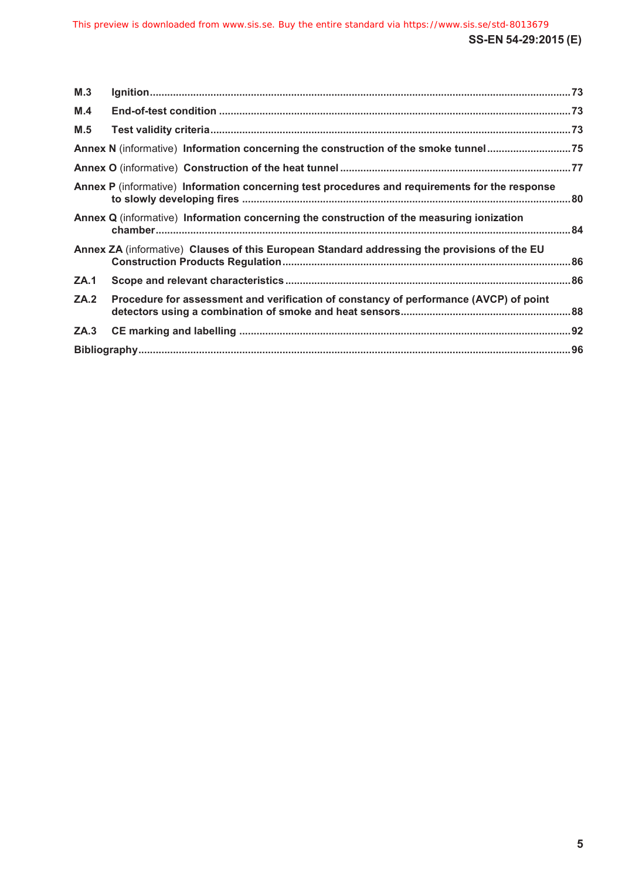| M.3  |                                                                                                |  |
|------|------------------------------------------------------------------------------------------------|--|
| M.4  |                                                                                                |  |
| M.5  |                                                                                                |  |
|      | Annex N (informative) Information concerning the construction of the smoke tunnel75            |  |
|      |                                                                                                |  |
|      | Annex P (informative) Information concerning test procedures and requirements for the response |  |
|      | Annex Q (informative) Information concerning the construction of the measuring ionization      |  |
|      | Annex ZA (informative) Clauses of this European Standard addressing the provisions of the EU   |  |
| ZA.1 |                                                                                                |  |
| ZA.2 | Procedure for assessment and verification of constancy of performance (AVCP) of point          |  |
| ZA.3 |                                                                                                |  |
|      |                                                                                                |  |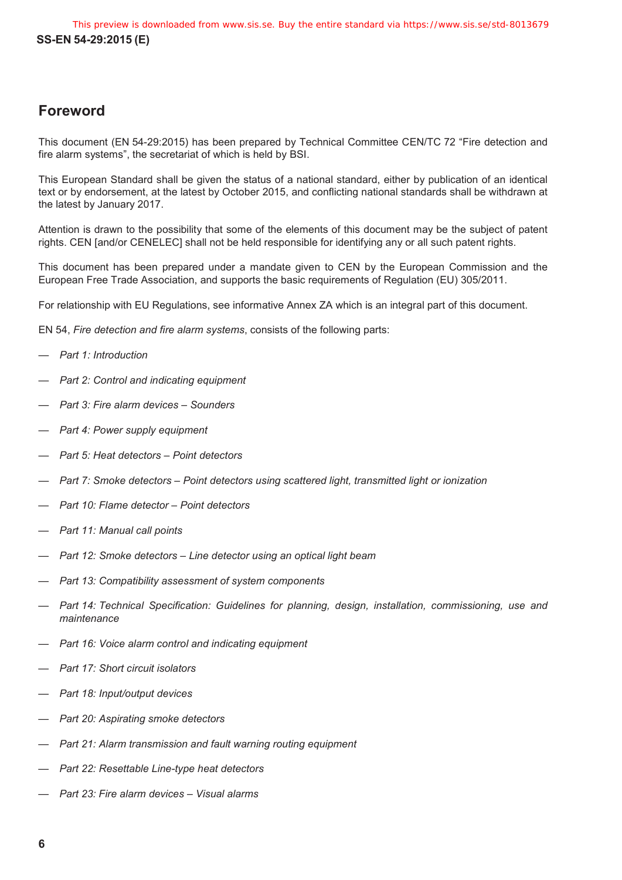## **Foreword**

This document (EN 54-29:2015) has been prepared by Technical Committee CEN/TC 72 "Fire detection and fire alarm systems", the secretariat of which is held by BSI.

This European Standard shall be given the status of a national standard, either by publication of an identical text or by endorsement, at the latest by October 2015, and conflicting national standards shall be withdrawn at the latest by January 2017.

Attention is drawn to the possibility that some of the elements of this document may be the subject of patent rights. CEN [and/or CENELEC] shall not be held responsible for identifying any or all such patent rights.

This document has been prepared under a mandate given to CEN by the European Commission and the European Free Trade Association, and supports the basic requirements of Regulation (EU) 305/2011.

For relationship with EU Regulations, see informative Annex ZA which is an integral part of this document.

EN 54, *Fire detection and fire alarm systems*, consists of the following parts:

- *Part 1: Introduction*
- *Part 2: Control and indicating equipment*
- *Part 3: Fire alarm devices – Sounders*
- *Part 4: Power supply equipment*
- *Part 5: Heat detectors – Point detectors*
- *Part 7: Smoke detectors – Point detectors using scattered light, transmitted light or ionization*
- *Part 10: Flame detector – Point detectors*
- *Part 11: Manual call points*
- *Part 12: Smoke detectors – Line detector using an optical light beam*
- *Part 13: Compatibility assessment of system components*
- *Part 14: Technical Specification: Guidelines for planning, design, installation, commissioning, use and maintenance*
- *Part 16: Voice alarm control and indicating equipment*
- *Part 17: Short circuit isolators*
- *Part 18: Input/output devices*
- *Part 20: Aspirating smoke detectors*
- *Part 21: Alarm transmission and fault warning routing equipment*
- *Part 22: Resettable Line-type heat detectors*
- *Part 23: Fire alarm devices – Visual alarms*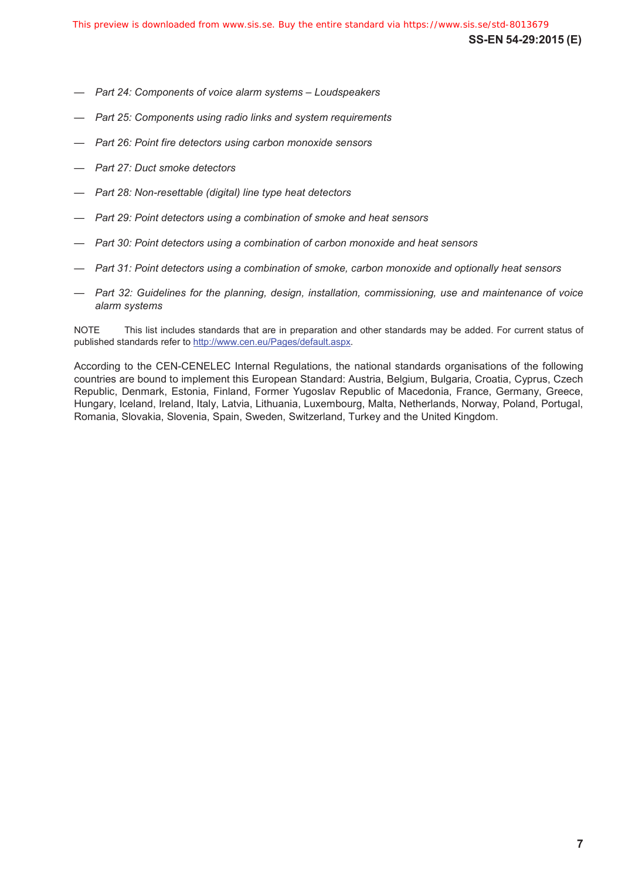- *Part 24: Components of voice alarm systems – Loudspeakers*
- *Part 25: Components using radio links and system requirements*
- *Part 26: Point fire detectors using carbon monoxide sensors*
- *Part 27: Duct smoke detectors*
- *Part 28: Non-resettable (digital) line type heat detectors*
- *Part 29: Point detectors using a combination of smoke and heat sensors*
- *Part 30: Point detectors using a combination of carbon monoxide and heat sensors*
- *Part 31: Point detectors using a combination of smoke, carbon monoxide and optionally heat sensors*
- *Part 32: Guidelines for the planning, design, installation, commissioning, use and maintenance of voice alarm systems*

NOTE This list includes standards that are in preparation and other standards may be added. For current status of published standards refer to http://www.cen.eu/Pages/default.aspx.

According to the CEN-CENELEC Internal Regulations, the national standards organisations of the following countries are bound to implement this European Standard: Austria, Belgium, Bulgaria, Croatia, Cyprus, Czech Republic, Denmark, Estonia, Finland, Former Yugoslav Republic of Macedonia, France, Germany, Greece, Hungary, Iceland, Ireland, Italy, Latvia, Lithuania, Luxembourg, Malta, Netherlands, Norway, Poland, Portugal, Romania, Slovakia, Slovenia, Spain, Sweden, Switzerland, Turkey and the United Kingdom.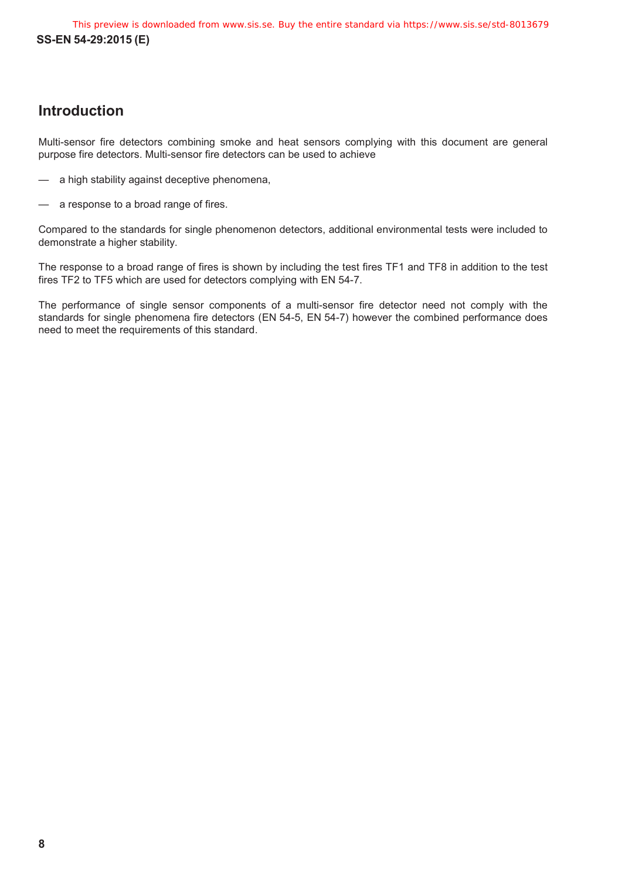### **Introduction**

Multi-sensor fire detectors combining smoke and heat sensors complying with this document are general purpose fire detectors. Multi-sensor fire detectors can be used to achieve

- a high stability against deceptive phenomena,
- a response to a broad range of fires.

Compared to the standards for single phenomenon detectors, additional environmental tests were included to demonstrate a higher stability.

The response to a broad range of fires is shown by including the test fires TF1 and TF8 in addition to the test fires TF2 to TF5 which are used for detectors complying with EN 54-7.

The performance of single sensor components of a multi-sensor fire detector need not comply with the standards for single phenomena fire detectors (EN 54-5, EN 54-7) however the combined performance does need to meet the requirements of this standard.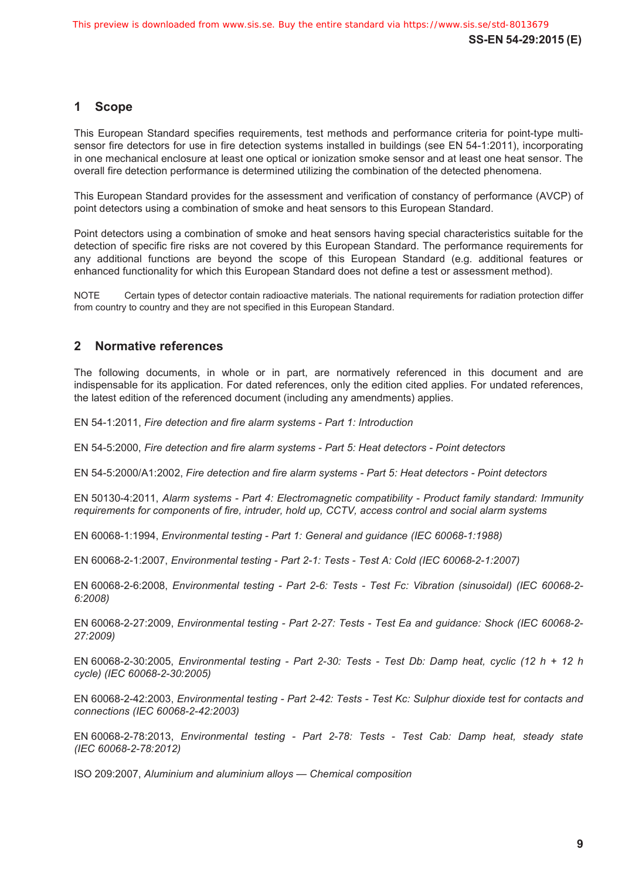### **1 Scope**

This European Standard specifies requirements, test methods and performance criteria for point-type multisensor fire detectors for use in fire detection systems installed in buildings (see EN 54-1:2011), incorporating in one mechanical enclosure at least one optical or ionization smoke sensor and at least one heat sensor. The overall fire detection performance is determined utilizing the combination of the detected phenomena.

This European Standard provides for the assessment and verification of constancy of performance (AVCP) of point detectors using a combination of smoke and heat sensors to this European Standard.

Point detectors using a combination of smoke and heat sensors having special characteristics suitable for the detection of specific fire risks are not covered by this European Standard. The performance requirements for any additional functions are beyond the scope of this European Standard (e.g. additional features or enhanced functionality for which this European Standard does not define a test or assessment method).

NOTE Certain types of detector contain radioactive materials. The national requirements for radiation protection differ from country to country and they are not specified in this European Standard.

### **2 Normative references**

The following documents, in whole or in part, are normatively referenced in this document and are indispensable for its application. For dated references, only the edition cited applies. For undated references, the latest edition of the referenced document (including any amendments) applies.

EN 54-1:2011, *Fire detection and fire alarm systems - Part 1: Introduction*

EN 54-5:2000, *Fire detection and fire alarm systems - Part 5: Heat detectors - Point detectors*

EN 54-5:2000/A1:2002, *Fire detection and fire alarm systems - Part 5: Heat detectors - Point detectors*

EN 50130-4:2011, *Alarm systems - Part 4: Electromagnetic compatibility - Product family standard: Immunity requirements for components of fire, intruder, hold up, CCTV, access control and social alarm systems*

EN 60068-1:1994, *Environmental testing - Part 1: General and guidance (IEC 60068-1:1988)*

EN 60068-2-1:2007, *Environmental testing - Part 2-1: Tests - Test A: Cold (IEC 60068-2-1:2007)*

EN 60068-2-6:2008, *Environmental testing - Part 2-6: Tests - Test Fc: Vibration (sinusoidal) (IEC 60068-2- 6:2008)*

EN 60068-2-27:2009, *Environmental testing - Part 2-27: Tests - Test Ea and guidance: Shock (IEC 60068-2- 27:2009)*

EN 60068-2-30:2005, *Environmental testing - Part 2-30: Tests - Test Db: Damp heat, cyclic (12 h + 12 h cycle) (IEC 60068-2-30:2005)*

EN 60068-2-42:2003, *Environmental testing - Part 2-42: Tests - Test Kc: Sulphur dioxide test for contacts and connections (IEC 60068-2-42:2003)*

EN 60068-2-78:2013, *Environmental testing - Part 2-78: Tests - Test Cab: Damp heat, steady state (IEC 60068-2-78:2012)*

ISO 209:2007, *Aluminium and aluminium alloys — Chemical composition*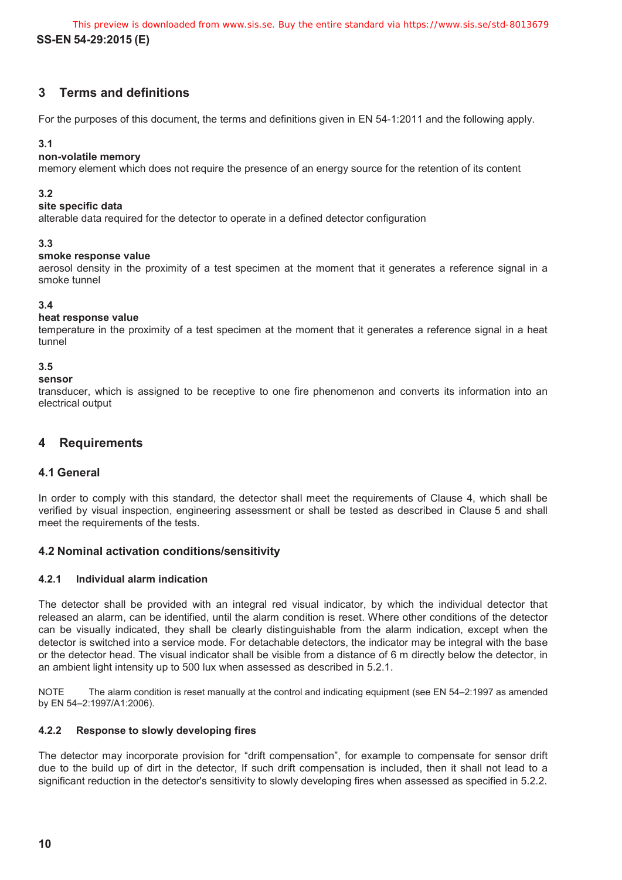**EN 54-29:2015 (E) SS-EN 54-29:2015 (E)** This preview is downloaded from www.sis.se. Buy the entire standard via https://www.sis.se/std-8013679

### **3 Terms and definitions**

For the purposes of this document, the terms and definitions given in EN 54-1:2011 and the following apply.

#### **3.1**

#### **non-volatile memory**

memory element which does not require the presence of an energy source for the retention of its content

#### **3.2**

#### **site specific data**

alterable data required for the detector to operate in a defined detector configuration

#### **3.3**

#### **smoke response value**

aerosol density in the proximity of a test specimen at the moment that it generates a reference signal in a smoke tunnel

#### **3.4**

#### **heat response value**

temperature in the proximity of a test specimen at the moment that it generates a reference signal in a heat tunnel

#### **3.5**

#### **sensor**

transducer, which is assigned to be receptive to one fire phenomenon and converts its information into an electrical output

#### **4 Requirements**

#### **4.1 General**

In order to comply with this standard, the detector shall meet the requirements of Clause 4, which shall be verified by visual inspection, engineering assessment or shall be tested as described in Clause 5 and shall meet the requirements of the tests.

#### **4.2 Nominal activation conditions/sensitivity**

#### **4.2.1 Individual alarm indication**

The detector shall be provided with an integral red visual indicator, by which the individual detector that released an alarm, can be identified, until the alarm condition is reset. Where other conditions of the detector can be visually indicated, they shall be clearly distinguishable from the alarm indication, except when the detector is switched into a service mode. For detachable detectors, the indicator may be integral with the base or the detector head. The visual indicator shall be visible from a distance of 6 m directly below the detector, in an ambient light intensity up to 500 lux when assessed as described in 5.2.1.

NOTE The alarm condition is reset manually at the control and indicating equipment (see EN 54–2:1997 as amended by EN 54–2:1997/A1:2006).

#### **4.2.2 Response to slowly developing fires**

The detector may incorporate provision for "drift compensation", for example to compensate for sensor drift due to the build up of dirt in the detector, If such drift compensation is included, then it shall not lead to a significant reduction in the detector's sensitivity to slowly developing fires when assessed as specified in 5.2.2.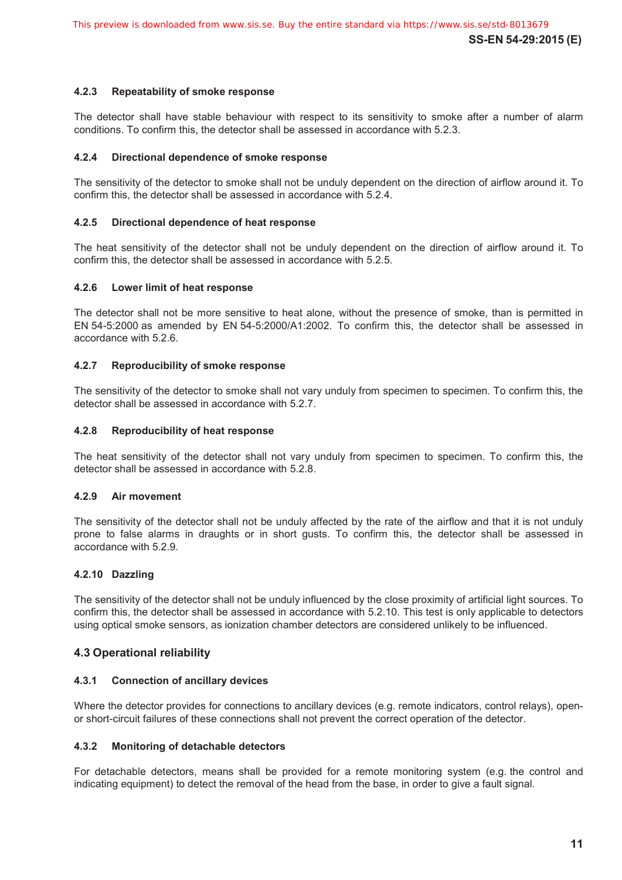#### **4.2.3 Repeatability of smoke response**

The detector shall have stable behaviour with respect to its sensitivity to smoke after a number of alarm conditions. To confirm this, the detector shall be assessed in accordance with 5.2.3.

#### **4.2.4 Directional dependence of smoke response**

The sensitivity of the detector to smoke shall not be unduly dependent on the direction of airflow around it. To confirm this, the detector shall be assessed in accordance with 5.2.4.

#### **4.2.5 Directional dependence of heat response**

The heat sensitivity of the detector shall not be unduly dependent on the direction of airflow around it. To confirm this, the detector shall be assessed in accordance with 5.2.5.

#### **4.2.6 Lower limit of heat response**

The detector shall not be more sensitive to heat alone, without the presence of smoke, than is permitted in EN 54-5:2000 as amended by EN 54-5:2000/A1:2002. To confirm this, the detector shall be assessed in accordance with 5.2.6.

#### **4.2.7 Reproducibility of smoke response**

The sensitivity of the detector to smoke shall not vary unduly from specimen to specimen. To confirm this, the detector shall be assessed in accordance with 5.2.7.

#### **4.2.8 Reproducibility of heat response**

The heat sensitivity of the detector shall not vary unduly from specimen to specimen. To confirm this, the detector shall be assessed in accordance with 5.2.8.

#### **4.2.9 Air movement**

The sensitivity of the detector shall not be unduly affected by the rate of the airflow and that it is not unduly prone to false alarms in draughts or in short gusts. To confirm this, the detector shall be assessed in accordance with 5.2.9.

#### **4.2.10 Dazzling**

The sensitivity of the detector shall not be unduly influenced by the close proximity of artificial light sources. To confirm this, the detector shall be assessed in accordance with 5.2.10. This test is only applicable to detectors using optical smoke sensors, as ionization chamber detectors are considered unlikely to be influenced.

#### **4.3 Operational reliability**

#### **4.3.1 Connection of ancillary devices**

Where the detector provides for connections to ancillary devices (e.g. remote indicators, control relays), openor short-circuit failures of these connections shall not prevent the correct operation of the detector.

#### **4.3.2 Monitoring of detachable detectors**

For detachable detectors, means shall be provided for a remote monitoring system (e.g. the control and indicating equipment) to detect the removal of the head from the base, in order to give a fault signal.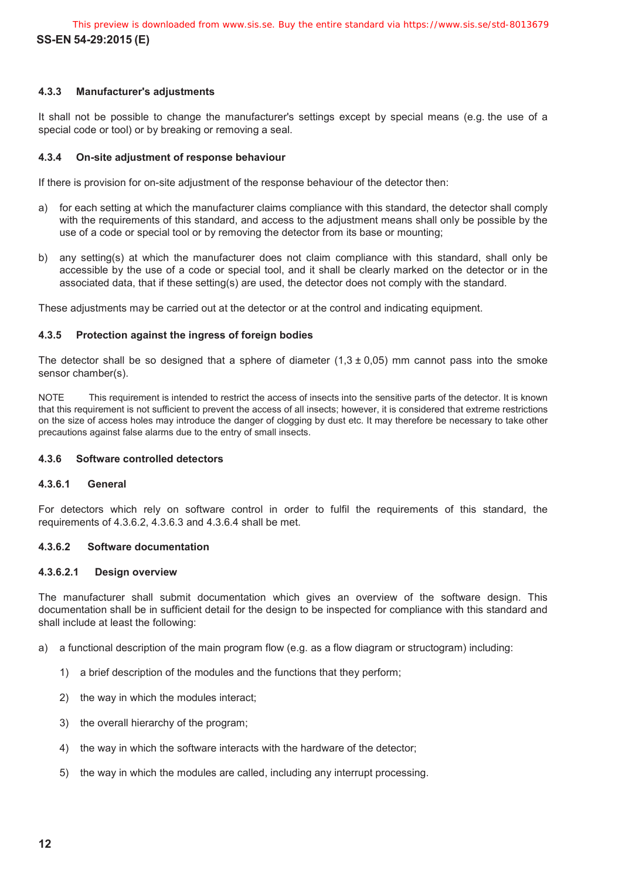#### **4.3.3 Manufacturer's adjustments**

It shall not be possible to change the manufacturer's settings except by special means (e.g. the use of a special code or tool) or by breaking or removing a seal.

#### **4.3.4 On-site adjustment of response behaviour**

If there is provision for on-site adjustment of the response behaviour of the detector then:

- a) for each setting at which the manufacturer claims compliance with this standard, the detector shall comply with the requirements of this standard, and access to the adjustment means shall only be possible by the use of a code or special tool or by removing the detector from its base or mounting;
- b) any setting(s) at which the manufacturer does not claim compliance with this standard, shall only be accessible by the use of a code or special tool, and it shall be clearly marked on the detector or in the associated data, that if these setting(s) are used, the detector does not comply with the standard.

These adjustments may be carried out at the detector or at the control and indicating equipment.

#### **4.3.5 Protection against the ingress of foreign bodies**

The detector shall be so designed that a sphere of diameter  $(1.3 \pm 0.05)$  mm cannot pass into the smoke sensor chamber(s).

NOTE This requirement is intended to restrict the access of insects into the sensitive parts of the detector. It is known that this requirement is not sufficient to prevent the access of all insects; however, it is considered that extreme restrictions on the size of access holes may introduce the danger of clogging by dust etc. It may therefore be necessary to take other precautions against false alarms due to the entry of small insects.

#### **4.3.6 Software controlled detectors**

#### **4.3.6.1 General**

For detectors which rely on software control in order to fulfil the requirements of this standard, the requirements of 4.3.6.2, 4.3.6.3 and 4.3.6.4 shall be met.

#### **4.3.6.2 Software documentation**

#### **4.3.6.2.1 Design overview**

The manufacturer shall submit documentation which gives an overview of the software design. This documentation shall be in sufficient detail for the design to be inspected for compliance with this standard and shall include at least the following:

- a) a functional description of the main program flow (e.g. as a flow diagram or structogram) including:
	- 1) a brief description of the modules and the functions that they perform;
	- 2) the way in which the modules interact;
	- 3) the overall hierarchy of the program;
	- 4) the way in which the software interacts with the hardware of the detector;
	- 5) the way in which the modules are called, including any interrupt processing.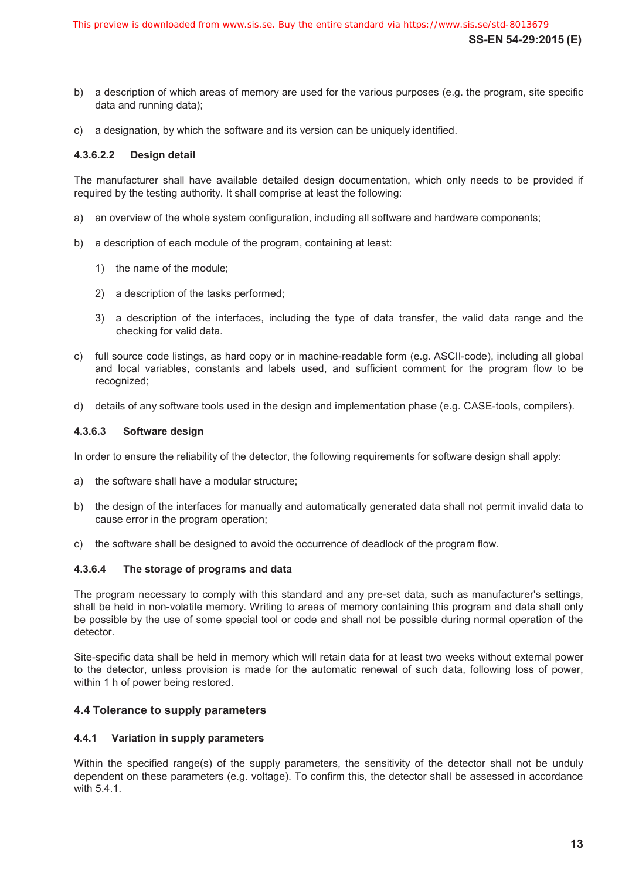- b) a description of which areas of memory are used for the various purposes (e.g. the program, site specific data and running data);
- c) a designation, by which the software and its version can be uniquely identified.

#### **4.3.6.2.2 Design detail**

The manufacturer shall have available detailed design documentation, which only needs to be provided if required by the testing authority. It shall comprise at least the following:

- a) an overview of the whole system configuration, including all software and hardware components;
- b) a description of each module of the program, containing at least:
	- 1) the name of the module;
	- 2) a description of the tasks performed;
	- 3) a description of the interfaces, including the type of data transfer, the valid data range and the checking for valid data.
- c) full source code listings, as hard copy or in machine-readable form (e.g. ASCII-code), including all global and local variables, constants and labels used, and sufficient comment for the program flow to be recognized;
- d) details of any software tools used in the design and implementation phase (e.g. CASE-tools, compilers).

#### **4.3.6.3 Software design**

In order to ensure the reliability of the detector, the following requirements for software design shall apply:

- a) the software shall have a modular structure;
- b) the design of the interfaces for manually and automatically generated data shall not permit invalid data to cause error in the program operation;
- c) the software shall be designed to avoid the occurrence of deadlock of the program flow.

#### **4.3.6.4 The storage of programs and data**

The program necessary to comply with this standard and any pre-set data, such as manufacturer's settings, shall be held in non-volatile memory. Writing to areas of memory containing this program and data shall only be possible by the use of some special tool or code and shall not be possible during normal operation of the detector.

Site-specific data shall be held in memory which will retain data for at least two weeks without external power to the detector, unless provision is made for the automatic renewal of such data, following loss of power, within 1 h of power being restored.

#### **4.4 Tolerance to supply parameters**

#### **4.4.1 Variation in supply parameters**

Within the specified range(s) of the supply parameters, the sensitivity of the detector shall not be unduly dependent on these parameters (e.g. voltage). To confirm this, the detector shall be assessed in accordance with 5.4.1.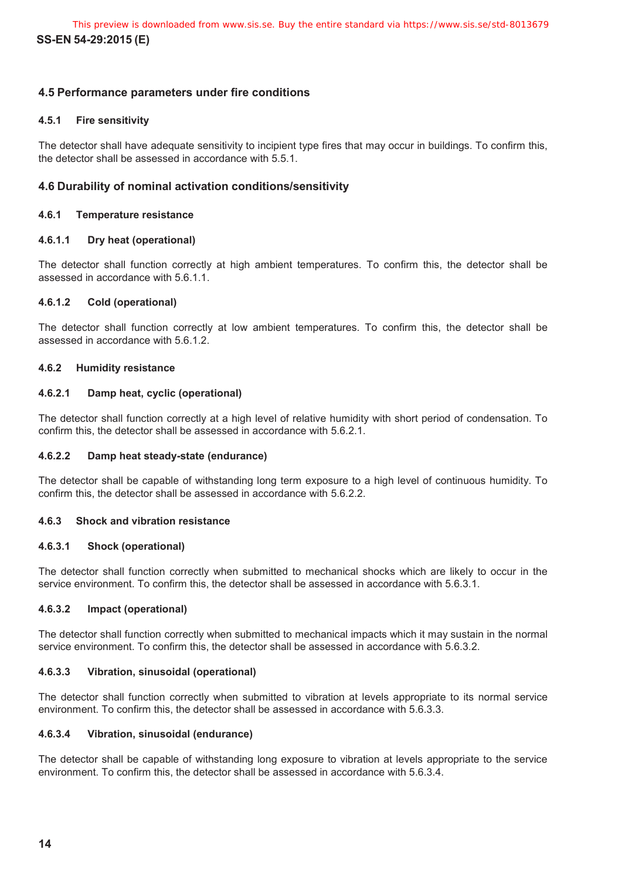#### **4.5 Performance parameters under fire conditions**

#### **4.5.1 Fire sensitivity**

The detector shall have adequate sensitivity to incipient type fires that may occur in buildings. To confirm this, the detector shall be assessed in accordance with 5.5.1.

#### **4.6 Durability of nominal activation conditions/sensitivity**

#### **4.6.1 Temperature resistance**

#### **4.6.1.1 Dry heat (operational)**

The detector shall function correctly at high ambient temperatures. To confirm this, the detector shall be assessed in accordance with 5.6.1.1.

#### **4.6.1.2 Cold (operational)**

The detector shall function correctly at low ambient temperatures. To confirm this, the detector shall be assessed in accordance with 5.6.1.2.

#### **4.6.2 Humidity resistance**

#### **4.6.2.1 Damp heat, cyclic (operational)**

The detector shall function correctly at a high level of relative humidity with short period of condensation. To confirm this, the detector shall be assessed in accordance with 5.6.2.1.

#### **4.6.2.2 Damp heat steady-state (endurance)**

The detector shall be capable of withstanding long term exposure to a high level of continuous humidity. To confirm this, the detector shall be assessed in accordance with 5.6.2.2.

#### **4.6.3 Shock and vibration resistance**

#### **4.6.3.1 Shock (operational)**

The detector shall function correctly when submitted to mechanical shocks which are likely to occur in the service environment. To confirm this, the detector shall be assessed in accordance with 5.6.3.1.

#### **4.6.3.2 Impact (operational)**

The detector shall function correctly when submitted to mechanical impacts which it may sustain in the normal service environment. To confirm this, the detector shall be assessed in accordance with 5.6.3.2.

#### **4.6.3.3 Vibration, sinusoidal (operational)**

The detector shall function correctly when submitted to vibration at levels appropriate to its normal service environment. To confirm this, the detector shall be assessed in accordance with 5.6.3.3.

#### **4.6.3.4 Vibration, sinusoidal (endurance)**

The detector shall be capable of withstanding long exposure to vibration at levels appropriate to the service environment. To confirm this, the detector shall be assessed in accordance with 5.6.3.4.